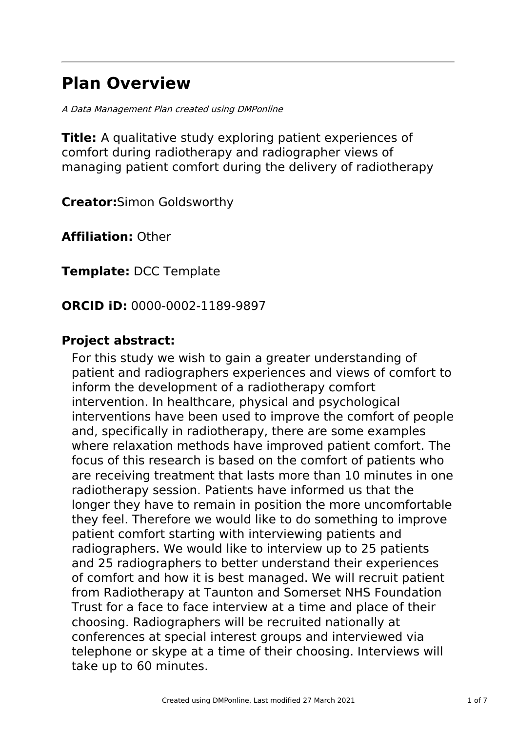# **Plan Overview**

A Data Management Plan created using DMPonline

**Title:** A qualitative study exploring patient experiences of comfort during radiotherapy and radiographer views of managing patient comfort during the delivery of radiotherapy

**Creator:**Simon Goldsworthy

**Affiliation:** Other

**Template:** DCC Template

**ORCID iD:** 0000-0002-1189-9897

# **Project abstract:**

For this study we wish to gain a greater understanding of patient and radiographers experiences and views of comfort to inform the development of a radiotherapy comfort intervention. In healthcare, physical and psychological interventions have been used to improve the comfort of people and, specifically in radiotherapy, there are some examples where relaxation methods have improved patient comfort. The focus of this research is based on the comfort of patients who are receiving treatment that lasts more than 10 minutes in one radiotherapy session. Patients have informed us that the longer they have to remain in position the more uncomfortable they feel. Therefore we would like to do something to improve patient comfort starting with interviewing patients and radiographers. We would like to interview up to 25 patients and 25 radiographers to better understand their experiences of comfort and how it is best managed. We will recruit patient from Radiotherapy at Taunton and Somerset NHS Foundation Trust for a face to face interview at a time and place of their choosing. Radiographers will be recruited nationally at conferences at special interest groups and interviewed via telephone or skype at a time of their choosing. Interviews will take up to 60 minutes.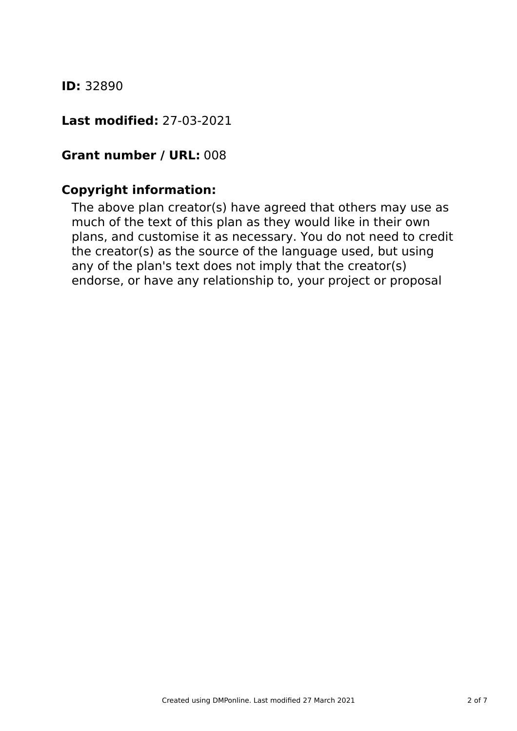### **ID:** 32890

### **Last modified:** 27-03-2021

### **Grant number / URL:** 008

# **Copyright information:**

The above plan creator(s) have agreed that others may use as much of the text of this plan as they would like in their own plans, and customise it as necessary. You do not need to credit the creator(s) as the source of the language used, but using any of the plan's text does not imply that the creator(s) endorse, or have any relationship to, your project or proposal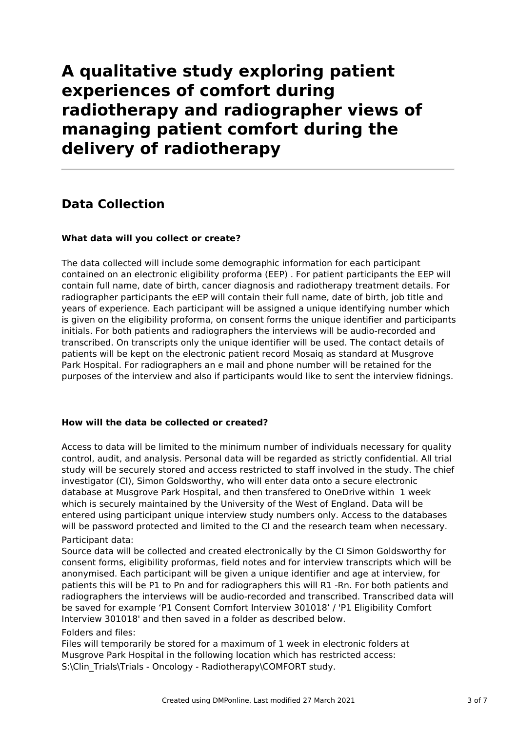# **A qualitative study exploring patient experiences of comfort during radiotherapy and radiographer views of managing patient comfort during the delivery of radiotherapy**

# **Data Collection**

### **What data will you collect or create?**

The data collected will include some demographic information for each participant contained on an electronic eligibility proforma (EEP) . For patient participants the EEP will contain full name, date of birth, cancer diagnosis and radiotherapy treatment details. For radiographer participants the eEP will contain their full name, date of birth, job title and years of experience. Each participant will be assigned a unique identifying number which is given on the eligibility proforma, on consent forms the unique identifier and participants initials. For both patients and radiographers the interviews will be audio-recorded and transcribed. On transcripts only the unique identifier will be used. The contact details of patients will be kept on the electronic patient record Mosaiq as standard at Musgrove Park Hospital. For radiographers an e mail and phone number will be retained for the purposes of the interview and also if participants would like to sent the interview fidnings.

### **How will the data be collected or created?**

Access to data will be limited to the minimum number of individuals necessary for quality control, audit, and analysis. Personal data will be regarded as strictly confidential. All trial study will be securely stored and access restricted to staff involved in the study. The chief investigator (CI), Simon Goldsworthy, who will enter data onto a secure electronic database at Musgrove Park Hospital, and then transfered to OneDrive within 1 week which is securely maintained by the University of the West of England. Data will be entered using participant unique interview study numbers only. Access to the databases will be password protected and limited to the CI and the research team when necessary. Participant data:

Source data will be collected and created electronically by the CI Simon Goldsworthy for consent forms, eligibility proformas, field notes and for interview transcripts which will be anonymised. Each participant will be given a unique identifier and age at interview, for patients this will be P1 to Pn and for radiographers this will R1 -Rn. For both patients and radiographers the interviews will be audio-recorded and transcribed. Transcribed data will be saved for example 'P1 Consent Comfort Interview 301018' / 'P1 Eligibility Comfort Interview 301018' and then saved in a folder as described below.

#### Folders and files:

Files will temporarily be stored for a maximum of 1 week in electronic folders at Musgrove Park Hospital in the following location which has restricted access: S:\Clin\_Trials\Trials - Oncology - Radiotherapy\COMFORT study.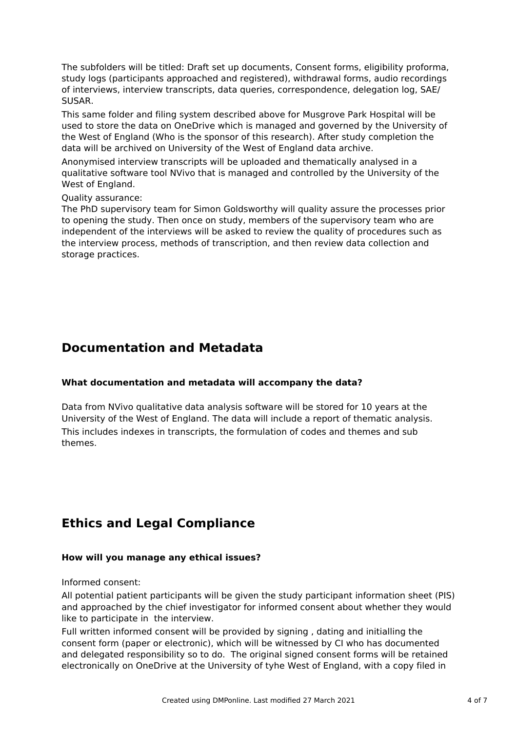The subfolders will be titled: Draft set up documents, Consent forms, eligibility proforma, study logs (participants approached and registered), withdrawal forms, audio recordings of interviews, interview transcripts, data queries, correspondence, delegation log, SAE/ SUSAR.

This same folder and filing system described above for Musgrove Park Hospital will be used to store the data on OneDrive which is managed and governed by the University of the West of England (Who is the sponsor of this research). After study completion the data will be archived on University of the West of England data archive.

Anonymised interview transcripts will be uploaded and thematically analysed in a qualitative software tool NVivo that is managed and controlled by the University of the West of England.

Quality assurance:

The PhD supervisory team for Simon Goldsworthy will quality assure the processes prior to opening the study. Then once on study, members of the supervisory team who are independent of the interviews will be asked to review the quality of procedures such as the interview process, methods of transcription, and then review data collection and storage practices.

### **Documentation and Metadata**

#### **What documentation and metadata will accompany the data?**

Data from NVivo qualitative data analysis software will be stored for 10 years at the University of the West of England. The data will include a report of thematic analysis. This includes indexes in transcripts, the formulation of codes and themes and sub themes.

# **Ethics and Legal Compliance**

#### **How will you manage any ethical issues?**

Informed consent:

All potential patient participants will be given the study participant information sheet (PIS) and approached by the chief investigator for informed consent about whether they would like to participate in the interview.

Full written informed consent will be provided by signing , dating and initialling the consent form (paper or electronic), which will be witnessed by CI who has documented and delegated responsibility so to do. The original signed consent forms will be retained electronically on OneDrive at the University of tyhe West of England, with a copy filed in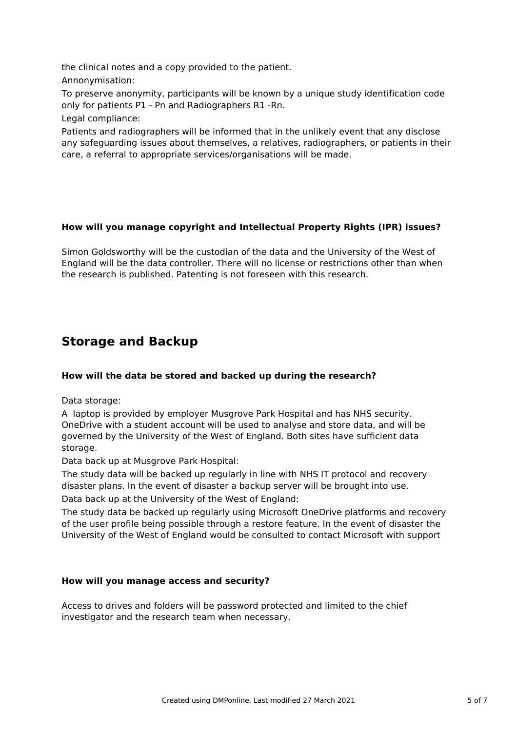the clinical notes and a copy provided to the patient. Annonymisation:

To preserve anonymity, participants will be known by a unique study identification code only for patients P1 - Pn and Radiographers R1 -Rn.

Legal compliance:

Patients and radiographers will be informed that in the unlikely event that any disclose any safeguarding issues about themselves, a relatives, radiographers, or patients in their care, a referral to appropriate services/organisations will be made.

### **How will you manage copyright and Intellectual Property Rights (IPR) issues?**

Simon Goldsworthy will be the custodian of the data and the University of the West of England will be the data controller. There will no license or restrictions other than when the research is published. Patenting is not foreseen with this research.

# **Storage and Backup**

### **How will the data be stored and backed up during the research?**

Data storage:

A laptop is provided by employer Musgrove Park Hospital and has NHS security. OneDrive with a student account will be used to analyse and store data, and will be governed by the University of the West of England. Both sites have sufficient data storage.

Data back up at Musgrove Park Hospital:

The study data will be backed up regularly in line with NHS IT protocol and recovery disaster plans. In the event of disaster a backup server will be brought into use. Data back up at the University of the West of England:

The study data be backed up regularly using Microsoft OneDrive platforms and recovery of the user profile being possible through a restore feature. In the event of disaster the University of the West of England would be consulted to contact Microsoft with support

### **How will you manage access and security?**

Access to drives and folders will be password protected and limited to the chief investigator and the research team when necessary.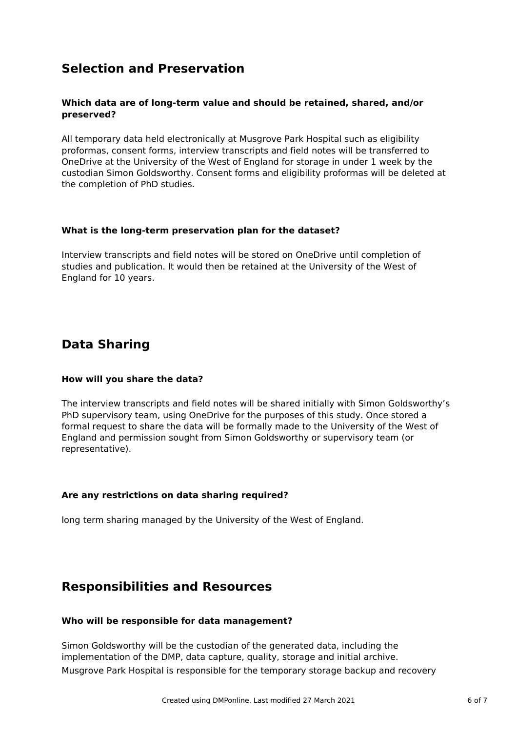# **Selection and Preservation**

### **Which data are of long-term value and should be retained, shared, and/or preserved?**

All temporary data held electronically at Musgrove Park Hospital such as eligibility proformas, consent forms, interview transcripts and field notes will be transferred to OneDrive at the University of the West of England for storage in under 1 week by the custodian Simon Goldsworthy. Consent forms and eligibility proformas will be deleted at the completion of PhD studies.

#### **What is the long-term preservation plan for the dataset?**

Interview transcripts and field notes will be stored on OneDrive until completion of studies and publication. It would then be retained at the University of the West of England for 10 years.

# **Data Sharing**

### **How will you share the data?**

The interview transcripts and field notes will be shared initially with Simon Goldsworthy's PhD supervisory team, using OneDrive for the purposes of this study. Once stored a formal request to share the data will be formally made to the University of the West of England and permission sought from Simon Goldsworthy or supervisory team (or representative).

### **Are any restrictions on data sharing required?**

long term sharing managed by the University of the West of England.

### **Responsibilities and Resources**

#### **Who will be responsible for data management?**

Simon Goldsworthy will be the custodian of the generated data, including the implementation of the DMP, data capture, quality, storage and initial archive. Musgrove Park Hospital is responsible for the temporary storage backup and recovery